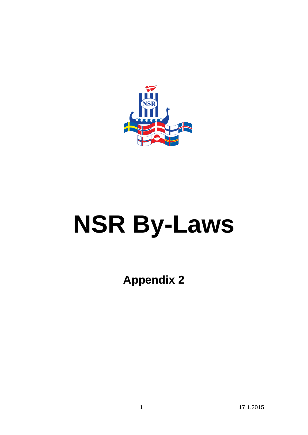

# **NSR By-Laws**

**Appendix 2**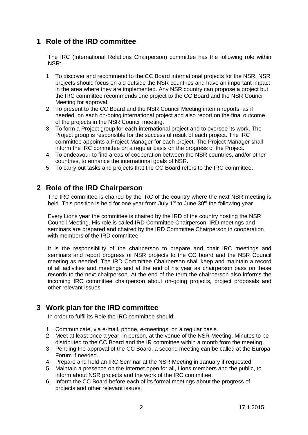#### **1 Role of the IRD committee**

The IRC (International Relations Chairperson) committee has the following role within NSR:

- 1. To discover and recommend to the CC Board international projects for the NSR. NSR projects should focus on aid outside the NSR countries and have an important impact in the area where they are implemented. Any NSR country can propose a project but the IRC committee recommends one project to the CC Board and the NSR Council Meeting for approval.
- 2. To present to the CC Board and the NSR Council Meeting interim reports, as if needed, on each on-going international project and also report on the final outcome of the projects in the NSR Council meeting.
- 3. To form a Project group for each international project and to oversee its work. The Project group is responsible for the successful result of each project. The IRC committee appoints a Project Manager for each project. The Project Manager shall inform the IRC committee on a regular basis on the progress of the Project.
- 4. To endeavour to find areas of cooperation between the NSR countries, and/or other countries, to enhance the international goals of NSR.
- 5. To carry out tasks and projects that the CC Board refers to the IRC committee.

#### **2 Role of the IRD Chairperson**

The IRC committee is chaired by the IRC of the country where the next NSR meeting is held. This position is held for one year from July  $1<sup>st</sup>$  to June 30<sup>th</sup> the following year.

Every Lions year the committee is chaired by the IRD of the country hosting the NSR Council Meeting. His role is called IRD Committee Chairperson. IRD meetings and seminars are prepared and chaired by the IRD Committee Chairperson in cooperation with members of the IRD committee.

It is the responsibility of the chairperson to prepare and chair IRC meetings and seminars and report progress of NSR projects to the CC board and the NSR Council meeting as needed. The IRD Committee Chairperson shall keep and maintain a record of all activities and meetings and at the end of his year as chairperson pass on these records to the next chairperson. At the end of the term the chairperson also informs the incoming IRC committee chairperson about on-going projects, project proposals and other relevant issues.

### **3 Work plan for the IRD committee**

In order to fulfil its Role the IRC committee should:

- 1. Communicate, via e-mail, phone, e-meetings, on a regular basis.
- 2. Meet at least once a year, in person, at the venue of the NSR Meeting. Minutes to be distributed to the CC Board and the IR committee within a month from the meeting.
- 3. Pending the approval of the CC Board, a second meeting can be called at the Europa Forum if needed.
- 4. Prepare and hold an IRC Seminar at the NSR Meeting in January if requested
- 5. Maintain a presence on the Internet open for all, Lions members and the public, to inform about NSR projects and the work of the IRC committee.
- 6. Inform the CC Board before each of its formal meetings about the progress of projects and other relevant issues.